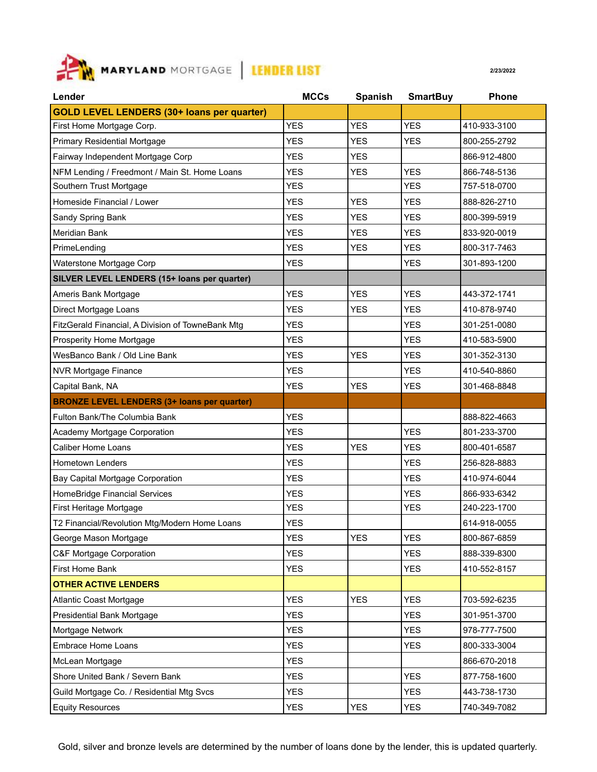

| Lender                                             | <b>MCCs</b> | <b>Spanish</b> | <b>SmartBuy</b> | <b>Phone</b> |
|----------------------------------------------------|-------------|----------------|-----------------|--------------|
| <b>GOLD LEVEL LENDERS (30+ loans per quarter)</b>  |             |                |                 |              |
| First Home Mortgage Corp.                          | <b>YES</b>  | <b>YES</b>     | <b>YES</b>      | 410-933-3100 |
| <b>Primary Residential Mortgage</b>                | <b>YES</b>  | <b>YES</b>     | <b>YES</b>      | 800-255-2792 |
| Fairway Independent Mortgage Corp                  | <b>YES</b>  | <b>YES</b>     |                 | 866-912-4800 |
| NFM Lending / Freedmont / Main St. Home Loans      | <b>YES</b>  | <b>YES</b>     | <b>YES</b>      | 866-748-5136 |
| Southern Trust Mortgage                            | <b>YES</b>  |                | <b>YES</b>      | 757-518-0700 |
| Homeside Financial / Lower                         | <b>YES</b>  | YES.           | <b>YES</b>      | 888-826-2710 |
| Sandy Spring Bank                                  | <b>YES</b>  | <b>YES</b>     | <b>YES</b>      | 800-399-5919 |
| <b>Meridian Bank</b>                               | <b>YES</b>  | <b>YES</b>     | <b>YES</b>      | 833-920-0019 |
| PrimeLending                                       | <b>YES</b>  | <b>YES</b>     | <b>YES</b>      | 800-317-7463 |
| Waterstone Mortgage Corp                           | <b>YES</b>  |                | <b>YES</b>      | 301-893-1200 |
| SILVER LEVEL LENDERS (15+ loans per quarter)       |             |                |                 |              |
| Ameris Bank Mortgage                               | <b>YES</b>  | <b>YES</b>     | <b>YES</b>      | 443-372-1741 |
| Direct Mortgage Loans                              | <b>YES</b>  | <b>YES</b>     | <b>YES</b>      | 410-878-9740 |
| FitzGerald Financial, A Division of TowneBank Mtg  | <b>YES</b>  |                | <b>YES</b>      | 301-251-0080 |
| Prosperity Home Mortgage                           | <b>YES</b>  |                | <b>YES</b>      | 410-583-5900 |
| WesBanco Bank / Old Line Bank                      | <b>YES</b>  | <b>YES</b>     | <b>YES</b>      | 301-352-3130 |
| <b>NVR Mortgage Finance</b>                        | <b>YES</b>  |                | <b>YES</b>      | 410-540-8860 |
| Capital Bank, NA                                   | <b>YES</b>  | <b>YES</b>     | <b>YES</b>      | 301-468-8848 |
| <b>BRONZE LEVEL LENDERS (3+ loans per quarter)</b> |             |                |                 |              |
| Fulton Bank/The Columbia Bank                      | <b>YES</b>  |                |                 | 888-822-4663 |
| Academy Mortgage Corporation                       | <b>YES</b>  |                | <b>YES</b>      | 801-233-3700 |
| <b>Caliber Home Loans</b>                          | <b>YES</b>  | <b>YES</b>     | <b>YES</b>      | 800-401-6587 |
| <b>Hometown Lenders</b>                            | <b>YES</b>  |                | <b>YES</b>      | 256-828-8883 |
| Bay Capital Mortgage Corporation                   | <b>YES</b>  |                | <b>YES</b>      | 410-974-6044 |
| HomeBridge Financial Services                      | <b>YES</b>  |                | <b>YES</b>      | 866-933-6342 |
| First Heritage Mortgage                            | <b>YES</b>  |                | <b>YES</b>      | 240-223-1700 |
| T2 Financial/Revolution Mtg/Modern Home Loans      | <b>YES</b>  |                |                 | 614-918-0055 |
| George Mason Mortgage                              | <b>YES</b>  | <b>YES</b>     | <b>YES</b>      | 800-867-6859 |
| C&F Mortgage Corporation                           | <b>YES</b>  |                | <b>YES</b>      | 888-339-8300 |
| First Home Bank                                    | <b>YES</b>  |                | <b>YES</b>      | 410-552-8157 |
| <b>OTHER ACTIVE LENDERS</b>                        |             |                |                 |              |
| Atlantic Coast Mortgage                            | <b>YES</b>  | <b>YES</b>     | <b>YES</b>      | 703-592-6235 |
| Presidential Bank Mortgage                         | <b>YES</b>  |                | <b>YES</b>      | 301-951-3700 |
| Mortgage Network                                   | <b>YES</b>  |                | <b>YES</b>      | 978-777-7500 |
| Embrace Home Loans                                 | <b>YES</b>  |                | <b>YES</b>      | 800-333-3004 |
| McLean Mortgage                                    | <b>YES</b>  |                |                 | 866-670-2018 |
| Shore United Bank / Severn Bank                    | <b>YES</b>  |                | <b>YES</b>      | 877-758-1600 |
| Guild Mortgage Co. / Residential Mtg Svcs          | <b>YES</b>  |                | <b>YES</b>      | 443-738-1730 |
| <b>Equity Resources</b>                            | <b>YES</b>  | <b>YES</b>     | <b>YES</b>      | 740-349-7082 |

Gold, silver and bronze levels are determined by the number of loans done by the lender, this is updated quarterly.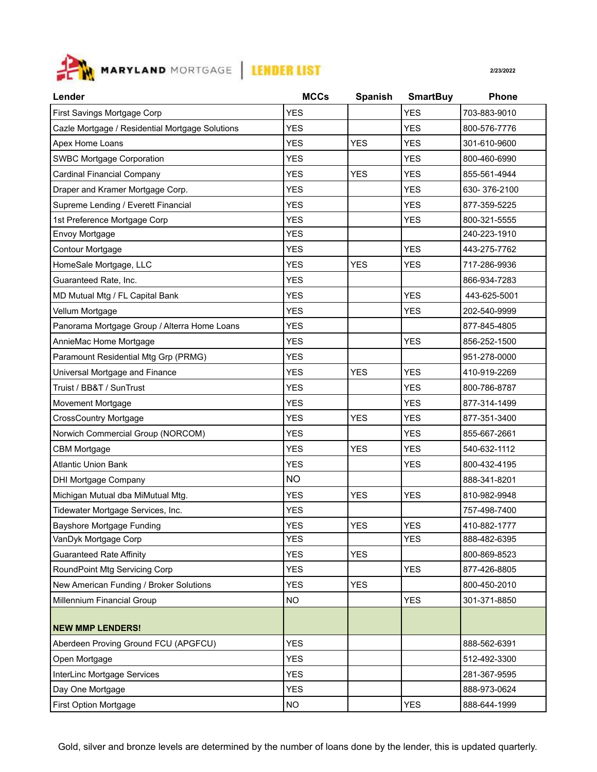

| Lender                                          | <b>MCCs</b> | <b>Spanish</b> | <b>SmartBuy</b> | <b>Phone</b> |
|-------------------------------------------------|-------------|----------------|-----------------|--------------|
| First Savings Mortgage Corp                     | <b>YES</b>  |                | <b>YES</b>      | 703-883-9010 |
| Cazle Mortgage / Residential Mortgage Solutions | <b>YES</b>  |                | <b>YES</b>      | 800-576-7776 |
| Apex Home Loans                                 | <b>YES</b>  | <b>YES</b>     | <b>YES</b>      | 301-610-9600 |
| <b>SWBC Mortgage Corporation</b>                | <b>YES</b>  |                | YES             | 800-460-6990 |
| <b>Cardinal Financial Company</b>               | <b>YES</b>  | <b>YES</b>     | <b>YES</b>      | 855-561-4944 |
| Draper and Kramer Mortgage Corp.                | <b>YES</b>  |                | <b>YES</b>      | 630-376-2100 |
| Supreme Lending / Everett Financial             | <b>YES</b>  |                | <b>YES</b>      | 877-359-5225 |
| 1st Preference Mortgage Corp                    | <b>YES</b>  |                | <b>YES</b>      | 800-321-5555 |
| Envoy Mortgage                                  | <b>YES</b>  |                |                 | 240-223-1910 |
| Contour Mortgage                                | <b>YES</b>  |                | <b>YES</b>      | 443-275-7762 |
| HomeSale Mortgage, LLC                          | <b>YES</b>  | <b>YES</b>     | <b>YES</b>      | 717-286-9936 |
| Guaranteed Rate, Inc.                           | <b>YES</b>  |                |                 | 866-934-7283 |
| MD Mutual Mtg / FL Capital Bank                 | <b>YES</b>  |                | <b>YES</b>      | 443-625-5001 |
| Vellum Mortgage                                 | <b>YES</b>  |                | <b>YES</b>      | 202-540-9999 |
| Panorama Mortgage Group / Alterra Home Loans    | <b>YES</b>  |                |                 | 877-845-4805 |
| AnnieMac Home Mortgage                          | <b>YES</b>  |                | <b>YES</b>      | 856-252-1500 |
| Paramount Residential Mtg Grp (PRMG)            | <b>YES</b>  |                |                 | 951-278-0000 |
| Universal Mortgage and Finance                  | <b>YES</b>  | <b>YES</b>     | <b>YES</b>      | 410-919-2269 |
| Truist / BB&T / SunTrust                        | <b>YES</b>  |                | <b>YES</b>      | 800-786-8787 |
| Movement Mortgage                               | <b>YES</b>  |                | <b>YES</b>      | 877-314-1499 |
| <b>CrossCountry Mortgage</b>                    | <b>YES</b>  | <b>YES</b>     | <b>YES</b>      | 877-351-3400 |
| Norwich Commercial Group (NORCOM)               | <b>YES</b>  |                | <b>YES</b>      | 855-667-2661 |
| <b>CBM Mortgage</b>                             | <b>YES</b>  | <b>YES</b>     | <b>YES</b>      | 540-632-1112 |
| <b>Atlantic Union Bank</b>                      | <b>YES</b>  |                | <b>YES</b>      | 800-432-4195 |
| DHI Mortgage Company                            | <b>NO</b>   |                |                 | 888-341-8201 |
| Michigan Mutual dba MiMutual Mtg.               | <b>YES</b>  | <b>YES</b>     | <b>YES</b>      | 810-982-9948 |
| Tidewater Mortgage Services, Inc.               | <b>YES</b>  |                |                 | 757-498-7400 |
| <b>Bayshore Mortgage Funding</b>                | <b>YES</b>  | <b>YES</b>     | <b>YES</b>      | 410-882-1777 |
| VanDyk Mortgage Corp                            | <b>YES</b>  |                | <b>YES</b>      | 888-482-6395 |
| <b>Guaranteed Rate Affinity</b>                 | <b>YES</b>  | <b>YES</b>     |                 | 800-869-8523 |
| RoundPoint Mtg Servicing Corp                   | <b>YES</b>  |                | <b>YES</b>      | 877-426-8805 |
| New American Funding / Broker Solutions         | <b>YES</b>  | <b>YES</b>     |                 | 800-450-2010 |
| Millennium Financial Group                      | <b>NO</b>   |                | <b>YES</b>      | 301-371-8850 |
|                                                 |             |                |                 |              |
| <b>NEW MMP LENDERS!</b>                         |             |                |                 |              |
| Aberdeen Proving Ground FCU (APGFCU)            | <b>YES</b>  |                |                 | 888-562-6391 |
| Open Mortgage                                   | <b>YES</b>  |                |                 | 512-492-3300 |
| InterLinc Mortgage Services                     | <b>YES</b>  |                |                 | 281-367-9595 |
| Day One Mortgage                                | <b>YES</b>  |                |                 | 888-973-0624 |
| First Option Mortgage                           | NO.         |                | <b>YES</b>      | 888-644-1999 |

Gold, silver and bronze levels are determined by the number of loans done by the lender, this is updated quarterly.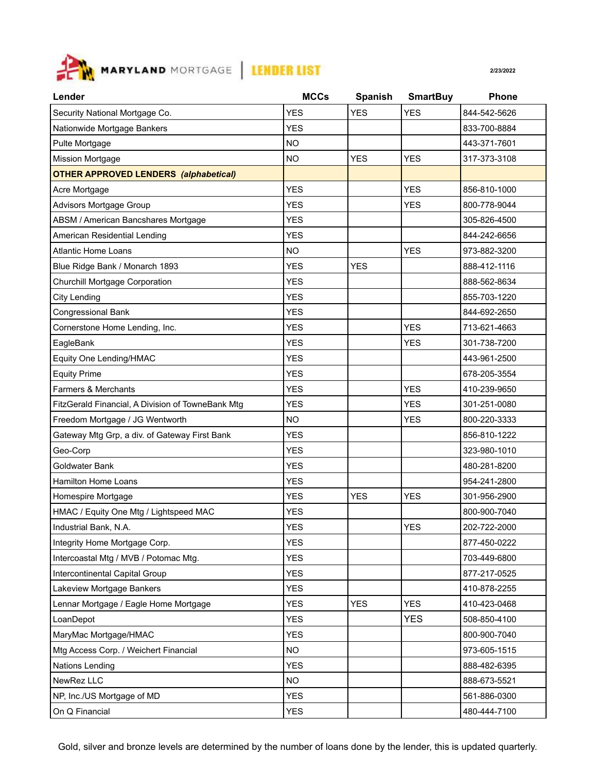

| Lender                                            | <b>MCCs</b> | <b>Spanish</b> | <b>SmartBuy</b> | Phone        |
|---------------------------------------------------|-------------|----------------|-----------------|--------------|
| Security National Mortgage Co.                    | <b>YES</b>  | <b>YES</b>     | <b>YES</b>      | 844-542-5626 |
| Nationwide Mortgage Bankers                       | <b>YES</b>  |                |                 | 833-700-8884 |
| Pulte Mortgage                                    | <b>NO</b>   |                |                 | 443-371-7601 |
| <b>Mission Mortgage</b>                           | <b>NO</b>   | <b>YES</b>     | <b>YES</b>      | 317-373-3108 |
| <b>OTHER APPROVED LENDERS (alphabetical)</b>      |             |                |                 |              |
| Acre Mortgage                                     | <b>YES</b>  |                | <b>YES</b>      | 856-810-1000 |
| Advisors Mortgage Group                           | <b>YES</b>  |                | <b>YES</b>      | 800-778-9044 |
| ABSM / American Bancshares Mortgage               | <b>YES</b>  |                |                 | 305-826-4500 |
| American Residential Lending                      | <b>YES</b>  |                |                 | 844-242-6656 |
| <b>Atlantic Home Loans</b>                        | <b>NO</b>   |                | <b>YES</b>      | 973-882-3200 |
| Blue Ridge Bank / Monarch 1893                    | <b>YES</b>  | <b>YES</b>     |                 | 888-412-1116 |
| Churchill Mortgage Corporation                    | <b>YES</b>  |                |                 | 888-562-8634 |
| City Lending                                      | <b>YES</b>  |                |                 | 855-703-1220 |
| Congressional Bank                                | <b>YES</b>  |                |                 | 844-692-2650 |
| Cornerstone Home Lending, Inc.                    | <b>YES</b>  |                | <b>YES</b>      | 713-621-4663 |
| EagleBank                                         | <b>YES</b>  |                | <b>YES</b>      | 301-738-7200 |
| Equity One Lending/HMAC                           | <b>YES</b>  |                |                 | 443-961-2500 |
| <b>Equity Prime</b>                               | <b>YES</b>  |                |                 | 678-205-3554 |
| Farmers & Merchants                               | <b>YES</b>  |                | <b>YES</b>      | 410-239-9650 |
| FitzGerald Financial, A Division of TowneBank Mtg | <b>YES</b>  |                | <b>YES</b>      | 301-251-0080 |
| Freedom Mortgage / JG Wentworth                   | <b>NO</b>   |                | <b>YES</b>      | 800-220-3333 |
| Gateway Mtg Grp, a div. of Gateway First Bank     | <b>YES</b>  |                |                 | 856-810-1222 |
| Geo-Corp                                          | <b>YES</b>  |                |                 | 323-980-1010 |
| Goldwater Bank                                    | <b>YES</b>  |                |                 | 480-281-8200 |
| Hamilton Home Loans                               | <b>YES</b>  |                |                 | 954-241-2800 |
| Homespire Mortgage                                | <b>YES</b>  | <b>YES</b>     | <b>YES</b>      | 301-956-2900 |
| HMAC / Equity One Mtg / Lightspeed MAC            | <b>YES</b>  |                |                 | 800-900-7040 |
| Industrial Bank, N.A.                             | <b>YES</b>  |                | <b>YES</b>      | 202-722-2000 |
| Integrity Home Mortgage Corp.                     | <b>YES</b>  |                |                 | 877-450-0222 |
| Intercoastal Mtg / MVB / Potomac Mtg.             | <b>YES</b>  |                |                 | 703-449-6800 |
| Intercontinental Capital Group                    | <b>YES</b>  |                |                 | 877-217-0525 |
| Lakeview Mortgage Bankers                         | <b>YES</b>  |                |                 | 410-878-2255 |
| Lennar Mortgage / Eagle Home Mortgage             | <b>YES</b>  | <b>YES</b>     | <b>YES</b>      | 410-423-0468 |
| LoanDepot                                         | <b>YES</b>  |                | <b>YES</b>      | 508-850-4100 |
| MaryMac Mortgage/HMAC                             | <b>YES</b>  |                |                 | 800-900-7040 |
| Mtg Access Corp. / Weichert Financial             | <b>NO</b>   |                |                 | 973-605-1515 |
| Nations Lending                                   | <b>YES</b>  |                |                 | 888-482-6395 |
| NewRez LLC                                        | <b>NO</b>   |                |                 | 888-673-5521 |
| NP, Inc./US Mortgage of MD                        | <b>YES</b>  |                |                 | 561-886-0300 |
| On Q Financial                                    | <b>YES</b>  |                |                 | 480-444-7100 |

Gold, silver and bronze levels are determined by the number of loans done by the lender, this is updated quarterly.